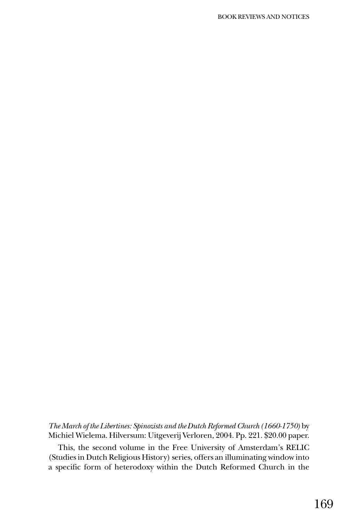*The March of the Libertines: Spinozists and the Dutch Reformed Church (1660-1750)* by Michiel Wielema. Hilversum: Uitgeverij Verloren, 2004. Pp. 221. \$20.00 paper.

This, the second volume in the Free University of Amsterdam's RELIC (Studies in Dutch Religious History) series, offers an illuminating window into a specific form of heterodoxy within the Dutch Reformed Church in the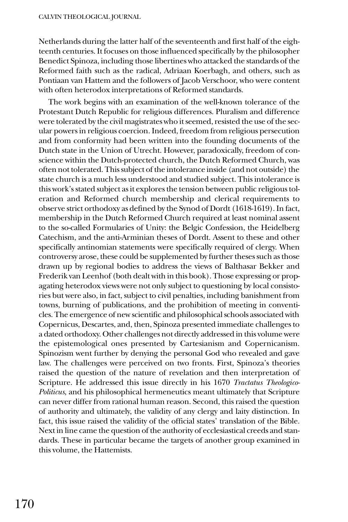Netherlands during the latter half of the seventeenth and first half of the eighteenth centuries. It focuses on those influenced specifically by the philosopher Benedict Spinoza, including those libertines who attacked the standards of the Reformed faith such as the radical, Adriaan Koerbagh, and others, such as Pontiaan van Hattem and the followers of Jacob Verschoor, who were content with often heterodox interpretations of Reformed standards.

The work begins with an examination of the well-known tolerance of the Protestant Dutch Republic for religious differences. Pluralism and difference were tolerated by the civil magistrates who it seemed, resisted the use of the secular powers in religious coercion. Indeed, freedom from religious persecution and from conformity had been written into the founding documents of the Dutch state in the Union of Utrecht. However, paradoxically, freedom of conscience within the Dutch-protected church, the Dutch Reformed Church, was often not tolerated. This subject of the intolerance inside (and not outside) the state church is a much less understood and studied subject. This intolerance is this work's stated subject as it explores the tension between public religious toleration and Reformed church membership and clerical requirements to observe strict orthodoxy as defined by the Synod of Dordt (1618-1619). In fact, membership in the Dutch Reformed Church required at least nominal assent to the so-called Formularies of Unity: the Belgic Confession, the Heidelberg Catechism, and the anti-Arminian theses of Dordt. Assent to these and other specifically antinomian statements were specifically required of clergy. When controversy arose, these could be supplemented by further theses such as those drawn up by regional bodies to address the views of Balthasar Bekker and Frederik van Leenhof (both dealt with in this book). Those expressing or propagating heterodox views were not only subject to questioning by local consistories but were also, in fact, subject to civil penalties, including banishment from towns, burning of publications, and the prohibition of meeting in conventicles. The emergence of new scientific and philosophical schools associated with Copernicus, Descartes, and, then, Spinoza presented immediate challenges to a dated orthodoxy. Other challenges not directly addressed in this volume were the epistemological ones presented by Cartesianism and Copernicanism. Spinozism went further by denying the personal God who revealed and gave law. The challenges were perceived on two fronts. First, Spinoza's theories raised the question of the nature of revelation and then interpretation of Scripture. He addressed this issue directly in his 1670 *Tractatus Theologico-Politicus*, and his philosophical hermeneutics meant ultimately that Scripture can never differ from rational human reason. Second, this raised the question of authority and ultimately, the validity of any clergy and laity distinction. In fact, this issue raised the validity of the official states' translation of the Bible. Next in line came the question of the authority of ecclesiastical creeds and standards. These in particular became the targets of another group examined in this volume, the Hattemists.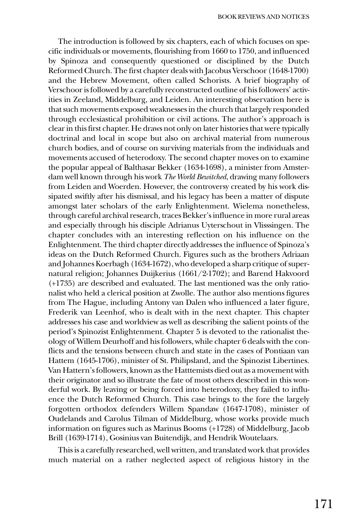The introduction is followed by six chapters, each of which focuses on specific individuals or movements, flourishing from 1660 to 1750, and influenced by Spinoza and consequently questioned or disciplined by the Dutch Reformed Church. The first chapter deals with Jacobus Verschoor (1648-1700) and the Hebrew Movement, often called Schorists. A brief biography of Verschoor is followed by a carefully reconstructed outline of his followers' activities in Zeeland, Middelburg, and Leiden. An interesting observation here is that such movements exposed weaknesses in the church that largely responded through ecclesiastical prohibition or civil actions. The author's approach is clear in this first chapter. He draws not only on later histories that were typically doctrinal and local in scope but also on archival material from numerous church bodies, and of course on surviving materials from the individuals and movements accused of heterodoxy. The second chapter moves on to examine the popular appeal of Balthasar Bekker (1634-1698), a minister from Amsterdam well known through his work *The World Bewitched*, drawing many followers from Leiden and Woerden. However, the controversy created by his work dissipated swiftly after his dismissal, and his legacy has been a matter of dispute amongst later scholars of the early Enlightenment. Wielema nonetheless, through careful archival research, traces Bekker's influence in more rural areas and especially through his disciple Adrianus Uyterschout in Vlisssingen. The chapter concludes with an interesting reflection on his influence on the Enlightenment. The third chapter directly addresses the influence of Spinoza's ideas on the Dutch Reformed Church. Figures such as the brothers Adriaan and Johannes Koerbagh (1634-1672), who developed a sharp critique of supernatural religion; Johannes Duijkerius (1661/2-1702); and Barend Hakvoord (+1735) are described and evaluated. The last mentioned was the only rationalist who held a clerical position at Zwolle. The author also mentions figures from The Hague, including Antony van Dalen who influenced a later figure, Frederik van Leenhof, who is dealt with in the next chapter. This chapter addresses his case and worldview as well as describing the salient points of the period's Spinozist Enlightenment. Chapter 5 is devoted to the rationalist theology of Willem Deurhoff and his followers, while chapter 6 deals with the conflicts and the tensions between church and state in the cases of Pontiaan van Hattem (1645-1706), minister of St. Philipsland, and the Spinozist Libertines. Van Hattern'sfollowers, known as the Hatttemists died out as a movement with their originator and so illustrate the fate of most others described in this wonderful work. By leaving or being forced into heterodoxy, they failed to influence the Dutch Reformed Church. This case brings to the fore the largely forgotten orthodox defenders Willem Spandaw (1647-1708), minister of Oudelands and Carolus Tilman of Middelburg, whose works provide much information on figures such as Marinus Booms (+1728) of Middelburg, Jacob Brill (1639-1714), Gosinius van Buitendijk, and Hendrik Woutelaars.

This is a carefully researched, well written, and translated work that provides much material on a rather neglected aspect of religious history in the